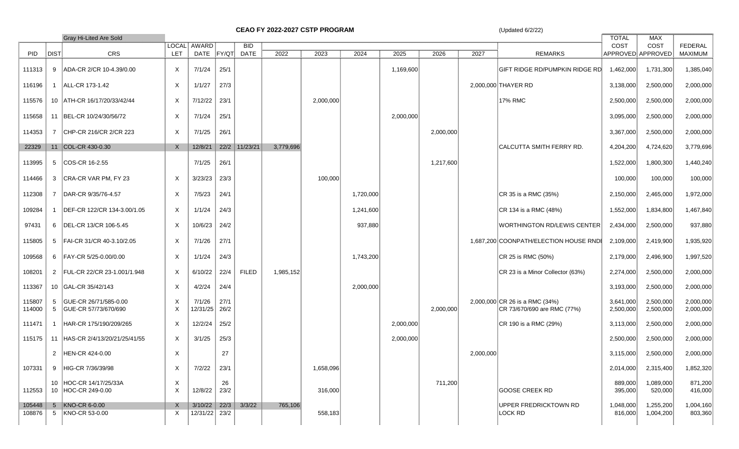**CEAO FY 2022-2027 CSTP PROGRAM** (Updated 6/2/22)

|                  | Gray Hi-Lited Are Sold<br>LOCAL AWARD<br><b>BID</b> |                                               |                           |                    |              |               |           |           |           |           |           |           | <b>TOTAL</b>                                                  | MAX                    |                           |                           |
|------------------|-----------------------------------------------------|-----------------------------------------------|---------------------------|--------------------|--------------|---------------|-----------|-----------|-----------|-----------|-----------|-----------|---------------------------------------------------------------|------------------------|---------------------------|---------------------------|
| PID              | <b>DIST</b>                                         | CRS                                           | LET                       | DATE FY/QT         |              | <b>DATE</b>   | 2022      | 2023      | 2024      | 2025      | 2026      | 2027      | <b>REMARKS</b>                                                | COST                   | COST<br>APPROVED APPROVED | <b>FEDERAL</b><br>MAXIMUM |
| 111313           | 9                                                   | ADA-CR 2/CR 10-4.39/0.00                      | $\mathsf{X}$              | 7/1/24             | 25/1         |               |           |           |           | 1,169,600 |           |           | GIFT RIDGE RD/PUMPKIN RIDGE RD                                | 1,462,000              | 1,731,300                 | 1,385,040                 |
| 116196           |                                                     | 1 ALL-CR 173-1.42                             | $\boldsymbol{\mathsf{X}}$ | 1/1/27             | 27/3         |               |           |           |           |           |           |           | 2,000,000 THAYER RD                                           | 3,138,000              | 2,500,000                 | 2,000,000                 |
| 115576           |                                                     | 10 ATH-CR 16/17/20/33/42/44                   | X                         | 7/12/22            | 23/1         |               |           | 2,000,000 |           |           |           |           | 17% RMC                                                       | 2,500,000              | 2,500,000                 | 2,000,000                 |
| 115658           |                                                     | 11 BEL-CR 10/24/30/56/72                      | $\mathsf{X}$              | 7/1/24             | 25/1         |               |           |           |           | 2,000,000 |           |           |                                                               | 3,095,000              | 2,500,000                 | 2,000,000                 |
| 114353           | 7                                                   | CHP-CR 216/CR 2/CR 223                        | $\mathsf{X}$              | 7/1/25             | 26/1         |               |           |           |           |           | 2,000,000 |           |                                                               | 3,367,000              | 2,500,000                 | 2,000,000                 |
| 22329            |                                                     | 11 COL-CR 430-0.30                            | $\mathsf{X}$              | 12/8/21            |              | 22/2 11/23/21 | 3,779,696 |           |           |           |           |           | CALCUTTA SMITH FERRY RD.                                      | 4,204,200              | 4,724,620                 | 3,779,696                 |
| 113995           | 5                                                   | COS-CR 16-2.55                                |                           | 7/1/25             | 26/1         |               |           |           |           |           | 1,217,600 |           |                                                               | 1,522,000              | 1,800,300                 | 1,440,240                 |
| 114466           | 3                                                   | CRA-CR VAR PM, FY 23                          | $\times$                  | 3/23/23            | 23/3         |               |           | 100,000   |           |           |           |           |                                                               | 100,000                | 100,000                   | 100,000                   |
| 112308           | $\overline{7}$                                      | DAR-CR 9/35/76-4.57                           | $\mathsf{X}$              | 7/5/23             | 24/1         |               |           |           | 1,720,000 |           |           |           | CR 35 is a RMC (35%)                                          | 2,150,000              | 2,465,000                 | 1,972,000                 |
| 109284           | $\mathbf{1}$                                        | DEF-CR 122/CR 134-3.00/1.05                   | $\mathsf{X}$              | 1/1/24             | 24/3         |               |           |           | 1,241,600 |           |           |           | CR 134 is a RMC (48%)                                         | 1,552,000              | 1,834,800                 | 1,467,840                 |
| 97431            | 6                                                   | DEL-CR 13/CR 106-5.45                         | $\mathsf{X}$              | 10/6/23            | 24/2         |               |           |           | 937,880   |           |           |           | WORTHINGTON RD/LEWIS CENTER                                   | 2,434,000              | 2,500,000                 | 937,880                   |
| 115805           |                                                     | 5 FAI-CR 31/CR 40-3.10/2.05                   | X                         | 7/1/26             | 27/1         |               |           |           |           |           |           |           | 1,687,200 COONPATH/ELECTION HOUSE RNDE                        | 2,109,000              | 2,419,900                 | 1,935,920                 |
| 109568           | 6                                                   | FAY-CR 5/25-0.00/0.00                         | $\boldsymbol{\mathsf{X}}$ | 1/1/24             | 24/3         |               |           |           | 1,743,200 |           |           |           | CR 25 is RMC (50%)                                            | 2,179,000              | 2,496,900                 | 1,997,520                 |
| 108201           |                                                     | 2 FUL-CR 22/CR 23-1.001/1.948                 | $\mathsf{X}$              | 6/10/22            | 22/4         | <b>FILED</b>  | 1,985,152 |           |           |           |           |           | CR 23 is a Minor Collector (63%)                              | 2,274,000              | 2,500,000                 | 2,000,000                 |
| 113367           |                                                     | 10 GAL-CR 35/42/143                           | $\mathsf{X}$              | 4/2/24             | 24/4         |               |           |           | 2,000,000 |           |           |           |                                                               | 3,193,000              | 2,500,000                 | 2,000,000                 |
| 115807<br>114000 | 5<br>5                                              | GUE-CR 26/71/585-0.00<br>GUE-CR 57/73/670/690 | X<br>$\times$             | 7/1/26<br>12/31/25 | 27/1<br>26/2 |               |           |           |           |           | 2,000,000 |           | 2,000,000 CR 26 is a RMC (34%)<br>CR 73/670/690 are RMC (77%) | 3,641,000<br>2,500,000 | 2,500,000<br>2,500,000    | 2,000,000<br>2,000,000    |
| 111471           | -1                                                  | HAR-CR 175/190/209/265                        | $\times$                  | 12/2/24            | 25/2         |               |           |           |           | 2,000,000 |           |           | CR 190 is a RMC (29%)                                         | 3,113,000              | 2,500,000                 | 2,000,000                 |
| 115175           |                                                     | 11 HAS-CR 2/4/13/20/21/25/41/55               | $\mathsf{X}$              | 3/1/25             | 25/3         |               |           |           |           | 2,000,000 |           |           |                                                               | 2,500,000              | 2,500,000                 | 2,000,000                 |
|                  | $\overline{2}$                                      | HEN-CR 424-0.00                               | $\times$                  |                    | 27           |               |           |           |           |           |           | 2,000,000 |                                                               | 3,115,000              | 2,500,000                 | 2,000,000                 |
| 107331           |                                                     | 9 HIG-CR 7/36/39/98                           | X                         | 7/2/22             | 23/1         |               |           | 1,658,096 |           |           |           |           |                                                               | 2,014,000              | 2,315,400                 | 1,852,320                 |
| 112553           |                                                     | 10 HOC-CR 14/17/25/33A<br>10 HOC-CR 249-0.00  | X<br>$\mathsf{X}$         | 12/8/22            | 26<br>23/2   |               |           | 316,000   |           |           | 711,200   |           | GOOSE CREEK RD                                                | 889,000<br>395,000     | 1,089,000<br>520,000      | 871,200<br>416,000        |
| 105448           |                                                     | 5 KNO-CR 6-0.00                               | X                         | $3/10/22$ 22/3     |              | 3/3/22        | 765,106   |           |           |           |           |           | UPPER FREDRICKTOWN RD                                         | 1,048,000              | 1,255,200                 | 1,004,160                 |
| 108876           |                                                     | 5 KNO-CR 53-0.00                              | X                         | 12/31/22 23/2      |              |               |           | 558,183   |           |           |           |           | LOCK RD                                                       | 816,000                | 1,004,200                 | 803,360                   |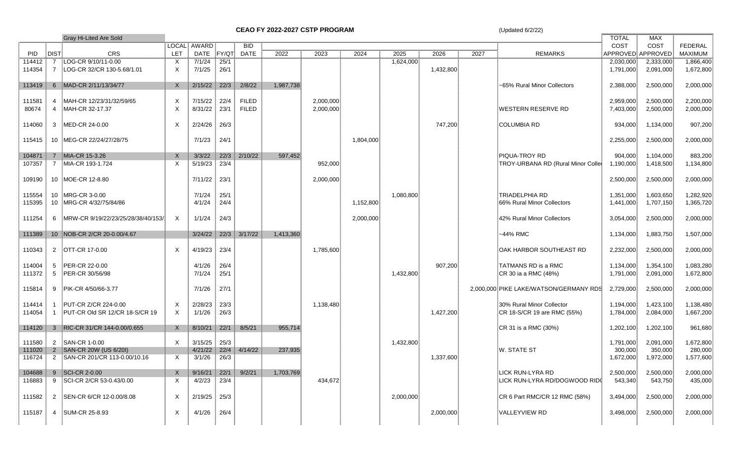**CEAO FY 2022-2027 CSTP PROGRAM** (Updated 6/2/22)

|            |             | <b>Gray Hi-Lited Are Sold</b>        |                           |         |                   |              |           |           |           |           |           | <b>TOTAL</b> | MAX                                    |                   |                |                |
|------------|-------------|--------------------------------------|---------------------------|---------|-------------------|--------------|-----------|-----------|-----------|-----------|-----------|--------------|----------------------------------------|-------------------|----------------|----------------|
|            |             |                                      | <b>LOCAL</b>              | AWARD   |                   | <b>BID</b>   |           |           |           |           |           |              | COST                                   | COST              | <b>FEDERAL</b> |                |
| <b>PID</b> | <b>DIST</b> | <b>CRS</b>                           | LET                       | DATE    | FY/QT             | <b>DATE</b>  | 2022      | 2023      | 2024      | 2025      | 2026      | 2027         | <b>REMARKS</b>                         | APPROVED APPROVED |                | <b>MAXIMUM</b> |
| 114412     | 7           | LOG-CR 9/10/11-0.00                  | X                         | 7/1/24  | $\overline{25/1}$ |              |           |           |           | 1,624,000 |           |              |                                        | 2,030,000         | 2,333,000      | 1,866,400      |
| 114354     |             | 7 LOG-CR 32/CR 130-5.68/1.01         | Χ                         | 7/1/25  | 26/1              |              |           |           |           |           | 1,432,800 |              |                                        | 1,791,000         | 2,091,000      | 1,672,800      |
|            |             |                                      |                           |         |                   |              |           |           |           |           |           |              |                                        |                   |                |                |
| 113419     |             | 6 MAD-CR 2/11/13/34/77               | X                         | 2/15/22 | 22/3              | 2/8/22       | 1,987,738 |           |           |           |           |              | ~65% Rural Minor Collectors            | 2,388,000         | 2,500,000      | 2,000,000      |
|            |             |                                      |                           |         |                   |              |           |           |           |           |           |              |                                        |                   |                |                |
| 111581     |             | 4 MAH-CR 12/23/31/32/59/65           | $\boldsymbol{\mathsf{X}}$ | 7/15/22 | 22/4              | <b>FILED</b> |           | 2,000,000 |           |           |           |              |                                        | 2,959,000         | 2,500,000      | 2,200,000      |
| 80674      |             | 4 MAH-CR 32-17.37                    | X                         | 8/31/22 | 23/1              | <b>FILED</b> |           | 2,000,000 |           |           |           |              | <b>WESTERN RESERVE RD</b>              | 7,403,000         | 2,500,000      | 2,000,000      |
|            |             |                                      |                           |         |                   |              |           |           |           |           |           |              |                                        |                   |                |                |
| 114060     |             | 3 MED-CR 24-0.00                     | $\times$                  | 2/24/26 | 26/3              |              |           |           |           |           | 747,200   |              | <b>COLUMBIA RD</b>                     | 934,000           | 1,134,000      | 907,200        |
|            |             |                                      |                           |         |                   |              |           |           |           |           |           |              |                                        |                   |                |                |
| 115415     |             | 10 MEG-CR 22/24/27/28/75             |                           | 7/1/23  | 24/1              |              |           |           | 1,804,000 |           |           |              |                                        | 2,255,000         | 2,500,000      | 2,000,000      |
|            |             |                                      |                           |         |                   |              |           |           |           |           |           |              |                                        |                   |                |                |
| 104871     |             | 7 MIA-CR 15-3.26                     | $\times$                  | 3/3/22  | 22/3              | 2/10/22      | 597,452   |           |           |           |           |              | <b>PIQUA-TROY RD</b>                   | 904,000           | 1,104,000      | 883,200        |
| 107357     |             | 7 MIA-CR 193-1.724                   | $\times$                  | 5/19/23 | 23/4              |              |           | 952,000   |           |           |           |              | TROY-URBANA RD (Rural Minor Colle      | 1,190,000         | 1,418,500      | 1,134,800      |
|            |             |                                      |                           |         |                   |              |           |           |           |           |           |              |                                        |                   |                |                |
| 109190     |             | 10 MOE-CR 12-8.80                    |                           | 7/11/22 | 23/1              |              |           | 2,000,000 |           |           |           |              |                                        | 2,500,000         | 2,500,000      | 2,000,000      |
|            |             |                                      |                           |         |                   |              |           |           |           |           |           |              |                                        |                   |                |                |
| 115554     |             | 10 MRG-CR 3-0.00                     |                           | 7/1/24  | 25/1              |              |           |           |           | 1,080,800 |           |              | <b>TRIADELPHIA RD</b>                  | 1,351,000         | 1,603,650      | 1,282,920      |
| 115395     |             | 10 MRG-CR 4/32/75/84/86              |                           | 4/1/24  | 24/4              |              |           |           | 1,152,800 |           |           |              | 66% Rural Minor Collectors             | 1,441,000         | 1,707,150      | 1,365,720      |
|            |             |                                      |                           |         |                   |              |           |           |           |           |           |              |                                        |                   |                |                |
| 111254     |             | 6 MRW-CR 9/19/22/23/25/28/38/40/153/ | $\times$                  | 1/1/24  | 24/3              |              |           |           | 2,000,000 |           |           |              | 42% Rural Minor Collectors             | 3,054,000         | 2,500,000      | 2,000,000      |
|            |             |                                      |                           |         |                   |              |           |           |           |           |           |              |                                        |                   |                |                |
| 111389     |             | 10 NOB-CR 2/CR 20-0.00/4.67          |                           | 3/24/22 | 22/3              | 3/17/22      | 1,413,360 |           |           |           |           |              | -44% RMC                               | 1,134,000         | 1,883,750      | 1,507,000      |
|            |             |                                      |                           |         |                   |              |           |           |           |           |           |              |                                        |                   |                |                |
| 110343     |             | 2 OTT-CR 17-0.00                     | $\times$                  | 4/19/23 | 23/4              |              |           | 1,785,600 |           |           |           |              | OAK HARBOR SOUTHEAST RD                | 2,232,000         | 2,500,000      | 2,000,000      |
|            |             |                                      |                           |         |                   |              |           |           |           |           |           |              |                                        |                   |                |                |
| 114004     |             | 5 PER-CR 22-0.00                     |                           | 4/1/26  | 26/4              |              |           |           |           |           | 907,200   |              | TATMANS RD is a RMC                    | 1,134,000         | 1,354,100      | 1,083,280      |
| 111372     |             | 5 PER-CR 30/56/98                    |                           | 7/1/24  | 25/1              |              |           |           |           | 1,432,800 |           |              | CR 30 ia a RMC (48%)                   | 1,791,000         | 2,091,000      | 1,672,800      |
|            |             |                                      |                           |         |                   |              |           |           |           |           |           |              |                                        |                   |                |                |
| 115814     |             | 9 PIK-CR 4/50/66-3.77                |                           | 7/1/26  | 27/1              |              |           |           |           |           |           |              | 2,000,000 PIKE LAKE/WATSON/GERMANY RDS | 2,729,000         | 2,500,000      | 2,000,000      |
|            |             |                                      |                           |         |                   |              |           |           |           |           |           |              |                                        |                   |                |                |
| 114414     |             | 1 PUT-CR Z/CR 224-0.00               | X                         | 2/28/23 | 23/3              |              |           | 1,138,480 |           |           |           |              | 30% Rural Minor Collector              | 1,194,000         | 1,423,100      | 1,138,480      |
| 114054     |             | PUT-CR Old SR 12/CR 18-S/CR 19       | $\times$                  | 1/1/26  | 26/3              |              |           |           |           |           | 1,427,200 |              | CR 18-S/CR 19 are RMC (55%)            | 1,784,000         | 2,084,000      | 1,667,200      |
| 114120     |             | 3 RIC-CR 31/CR 144-0.00/0.655        | X                         | 8/10/21 | 22/1              | 8/5/21       | 955,714   |           |           |           |           |              | CR 31 is a RMC (30%)                   | 1,202,100         | 1,202,100      | 961,680        |
|            |             |                                      |                           |         |                   |              |           |           |           |           |           |              |                                        |                   |                |                |
| 111580     |             | 2 SAN-CR 1-0.00                      | Χ                         | 3/15/25 | 25/3              |              |           |           |           | 1,432,800 |           |              |                                        | 1,791,000         | 2,091,000      | 1,672,800      |
| 111020     |             | 2 SAN-CR 20W (US 6/20I)              |                           | 4/21/22 | 22/4              | 4/14/22      | 237,935   |           |           |           |           |              | <b>W. STATE ST</b>                     | 300,000           | 350,000        | 280,000        |
| 116724     |             | 2 SAN-CR 201/CR 113-0.00/10.16       | X                         | 3/1/26  | 26/3              |              |           |           |           |           | 1,337,600 |              |                                        | 1,672,000         | 1,972,000      | 1,577,600      |
|            |             |                                      |                           |         |                   |              |           |           |           |           |           |              |                                        |                   |                |                |
| 104688     |             | 9 SCI-CR 2-0.00                      | X                         | 9/16/21 | 22/1              | 9/2/21       | 1,703,769 |           |           |           |           |              | LICK RUN-LYRA RD                       | 2,500,000         | 2,500,000      | 2,000,000      |
| 116883     |             | 9 SCI-CR 2/CR 53-0.43/0.00           | Χ                         | 4/2/23  | 23/4              |              |           | 434,672   |           |           |           |              | LICK RUN-LYRA RD/DOGWOOD RID           | 543,340           | 543,750        | 435,000        |
|            |             |                                      |                           |         |                   |              |           |           |           |           |           |              |                                        |                   |                |                |
| 111582     |             | 2 SEN-CR 6/CR 12-0.00/8.08           | X                         | 2/19/25 | 25/3              |              |           |           |           | 2,000,000 |           |              | CR 6 Part RMC/CR 12 RMC (58%)          | 3,494,000         | 2,500,000      | 2,000,000      |
|            |             |                                      |                           |         |                   |              |           |           |           |           |           |              |                                        |                   |                |                |
| 115187     |             | 4 SUM-CR 25-8.93                     | Χ                         | 4/1/26  | 26/4              |              |           |           |           |           | 2,000,000 |              | VALLEYVIEW RD                          | 3,498,000         | 2,500,000      | 2,000,000      |
|            |             |                                      |                           |         |                   |              |           |           |           |           |           |              |                                        |                   |                |                |
|            |             |                                      |                           |         |                   |              |           |           |           |           |           |              |                                        |                   |                |                |